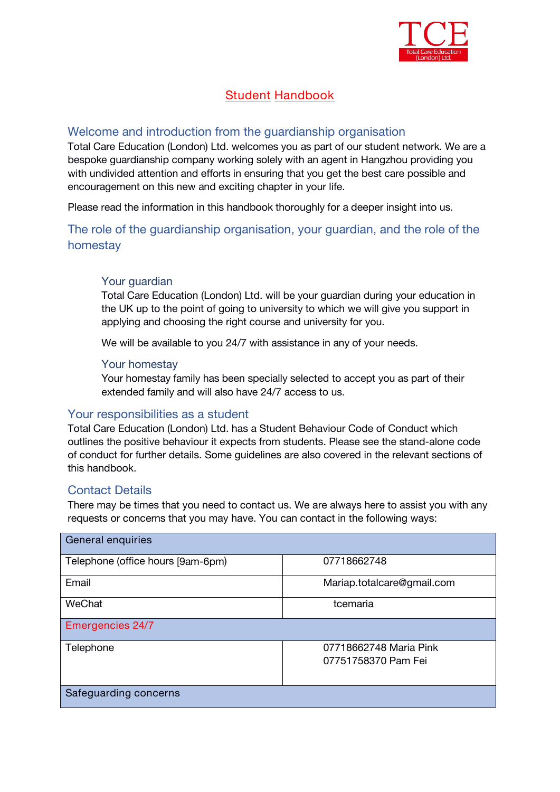

# **Student Handbook**

## <span id="page-0-0"></span>Welcome and introduction from the guardianship organisation

*Total Care Education (London) Ltd. welcomes you as part of our student network. We are a bespoke guardianship company working solely with an agent in Hangzhou providing you with undivided attention and efforts in ensuring that you get the best care possible and encouragement on this new and exciting chapter in your life.*

*Please read the information in this handbook thoroughly for a deeper insight into us.*

The role of the guardianship organisation, your guardian, and the role of the homestay

## Your guardian

*Total Care Education (London) Ltd. will be your guardian during your education in the UK upto the point of going to university to which we will give you support in applying and choosing the right course and university for you.*

*We will be available to you 24/7 with assistance in any of your needs.*

## Your homestay

*Your homestay family has been specially selected to accept you as part of their extended family and will also have 24/7 access to us.*

## Your responsibilities as a student

*Total Care Education (London) Ltd.* has a Student Behaviour Code of Conduct which outlines the positive behaviour it expects from students. Please see the stand-alone code of conduct for further details. Some guidelines are also covered in the relevant sections of this handbook.

## Contact Details

There may be times that you need to contact us. We are always here to assist you with any requests or concerns that you may have. You can contact in the following ways:

| General enquiries                 |                                               |
|-----------------------------------|-----------------------------------------------|
| Telephone (office hours [9am-6pm) | 07718662748                                   |
| Email                             | Mariap.totalcare@gmail.com                    |
| WeChat                            | tcemaria                                      |
| <b>Emergencies 24/7</b>           |                                               |
| Telephone                         | 07718662748 Maria Pink<br>07751758370 Pam Fei |
| Safeguarding concerns             |                                               |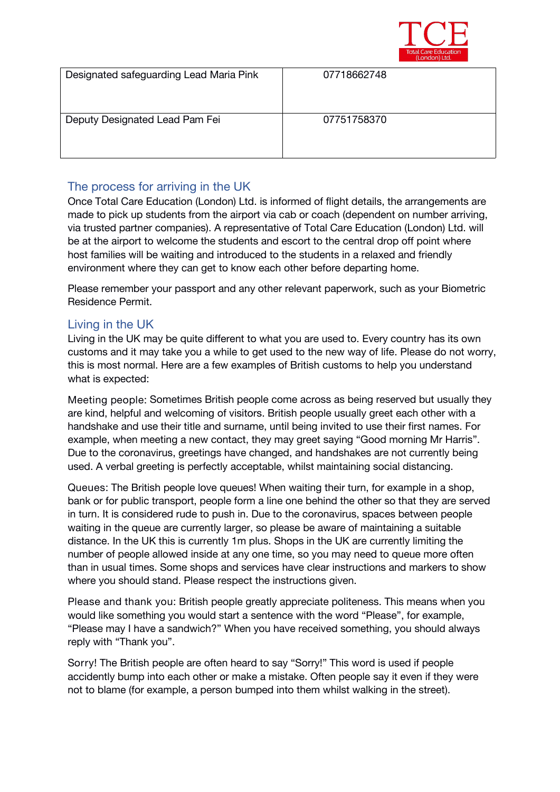

| Designated safeguarding Lead Maria Pink | 07718662748 |
|-----------------------------------------|-------------|
| Deputy Designated Lead Pam Fei          | 07751758370 |

## The process for arriving in the UK

Once Total Care Education (London) Ltd. is informed of flight details, the arrangements are made to pick up students from the airport via cab or coach (dependent on number arriving, via trusted partner companies). A representative of Total Care Education (London) Ltd. will be at the airport to welcome the students and escort to the central drop off point where host families will be waiting and introduced to the students in a relaxed and friendly environment where they can get to know each other before departing home.

Please remember your passport and any other relevant paperwork, such as your Biometric Residence Permit.

## Living in the UK

Living in the UK may be quite different to what you are used to. Every country has its own customs and it may take you a while to get used to the new way of life. Please do not worry, this is most normal. Here are a few examples of British customs to help you understand what is expected:

**Meeting people:** Sometimes British people come across as being reserved but usually they are kind, helpful and welcoming of visitors. British people usually greet each other with a handshake and use their title and surname, until being invited to use their first names. For example, when meeting a new contact, they may greet saying "Good morning Mr Harris". Due to the coronavirus, greetings have changed, and handshakes are not currently being used. A verbal greeting is perfectly acceptable, whilst maintaining social distancing.

**Queues:** The British people love queues! When waiting their turn, for example in a shop, bank or for public transport, people form a line one behind the other so that they are served in turn. It is considered rude to push in. Due to the coronavirus, spaces between people waiting in the queue are currently larger, so please be aware of maintaining a suitable distance. In the UK this is currently 1m plus. Shops in the UK are currently limiting the number of people allowed inside at any one time, so you may need to queue more often than in usual times. Some shops and services have clear instructions and markers to show where you should stand. Please respect the instructions given.

**Please and thank you:** British people greatly appreciate politeness. This means when you would like something you would start a sentence with the word "Please", for example, "Please may I have a sandwich?" When you have received something, you should always reply with "Thank you".

**Sorry!** The British people are often heard to say "Sorry!" This word is used if people accidently bump into each other or make a mistake. Often people say it even if they were not to blame (for example, a person bumped into them whilst walking in the street).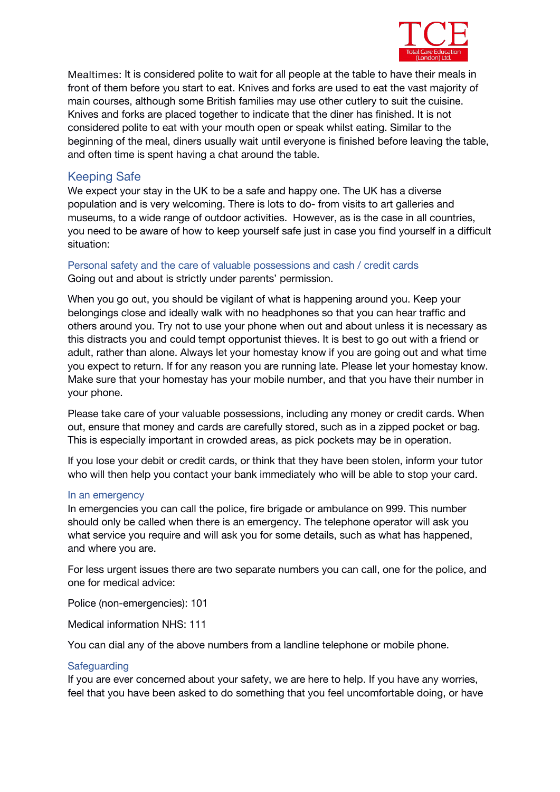

**Mealtimes:** It is considered polite to wait for all people at the table to have their meals in front of them before you start to eat. Knives and forks are used to eat the vast majority of main courses, although some British families may use other cutlery to suit the cuisine. Knives and forks are placed together to indicate that the diner has finished. It is not considered polite to eat with your mouth open or speak whilst eating. Similar to the beginning of the meal, diners usually wait until everyone is finished before leaving the table, and often time is spent having a chat around the table.

## Keeping Safe

We expect your stay in the UK to be a safe and happy one. The UK has a diverse population and is very welcoming. There is lots to do- from visits to art galleries and museums, to a wide range of outdoor activities. However, as is the case in all countries, you need to be aware of how to keep yourself safe just in case you find yourself in a difficult situation:

## *Personal safety and the care of valuable possessions and cash / credit cards* Going out and about is strictly under parents' permission.

When you go out, you should be vigilant of what is happening around you. Keep your belongings close and ideally walk with no headphones so that you can hear traffic and others around you. Try not to use your phone when out and about unless it is necessary as this distracts you and could tempt opportunist thieves. It is best to go out with a friend or adult, rather than alone. Always let your homestay know if you are going out and what time you expect to return. If for any reason you are running late. Please let your homestay know. Make sure that your homestay has your mobile number, and that you have their number in your phone.

Please take care of your valuable possessions, including any money or credit cards. When out, ensure that money and cards are carefully stored, such as in a zipped pocket or bag. This is especially important in crowded areas, as pick pockets may be in operation.

If you lose your debit or credit cards, or think that they have been stolen, inform your tutor who will then help you contact your bank immediately who will be able to stop your card.

## *In an emergency*

In emergencies you can call the police, fire brigade or ambulance on 999. This number should only be called when there is an emergency. The telephone operator will ask you what service you require and will ask you for some details, such as what has happened, and where you are.

For less urgent issues there are two separate numbers you can call, one for the police, and one for medical advice:

Police (non-emergencies): 101

Medical information NHS: 111

You can dial any of the above numbers from a landline telephone or mobile phone.

## *Safeguarding*

If you are ever concerned about your safety, we are here to help. If you have any worries, feel that you have been asked to do something that you feel uncomfortable doing, or have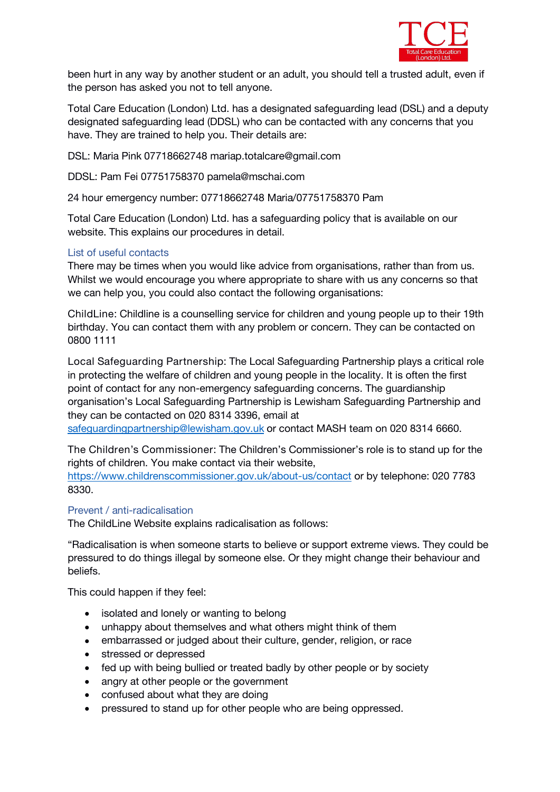

been hurt in any way by another student or an adult, you should tell a trusted adult, even if the person has asked you not to tell anyone.

Total Care Education (London) Ltd. has a designated safeguarding lead (DSL) and a deputy designated safeguarding lead (DDSL) who can be contacted with any concerns that you have. They are trained to help you. Their details are:

DSL: *Maria Pink 07718662748 mariap.totalcare@gmail.com*

DDSL*: Pam Fei 07751758370 pamela@mschai.com*

24 hour emergency number: *07718662748 Maria/07751758370 Pam*

Total Care Education (London) Ltd. has a safeguarding policy that is available on our website. This explains our procedures in detail.

## *List of useful contacts*

There may be times when you would like advice from organisations, rather than from us. Whilst we would encourage you where appropriate to share with us any concerns so that we can help you, you could also contact the following organisations:

**ChildLine:** Childline is a counselling service for children and young people up to their 19th birthday. You can contact them with any problem or concern. They can be contacted on 0800 1111

**Local Safeguarding Partnership:** The Local Safeguarding Partnership plays a critical role in protecting the welfare of children and young people in the locality. It is often the first point of contact for any non-emergency safeguarding concerns. The guardianship organisation's Local Safeguarding Partnership is *Lewisham Safeguarding Partnership* and they can be contacted on *020 8314 3396,* e*mail at*

*[safeguardingpartnership@lewisham.gov.uk](mailto:safeguardingpartnership@lewisham.gov.uk) or contact* MASH team on *020 8314 6660.*

**The Children's Commissioner**: The Children's Commissioner's role is to stand up for the rights of children. You make contact via their website,

<https://www.childrenscommissioner.gov.uk/about-us/contact> or by telephone: 020 7783 8330.

## *Prevent / anti-radicalisation*

The ChildLine Website explains radicalisation as follows:

"Radicalisation iswhen someone starts to believe orsupport extreme views. They could be pressured to do things illegal by someone else. Or they might change their behaviour and beliefs.

This could happen if they feel:

- isolated and lonely or wanting to belong
- unhappy about themselves and what others might think of them
- embarrassed or judged about their culture, gender, religion, or race
- stressed or depressed
- fed up with being bullied or treated badly by other people or by society
- angry at other people or the government
- $\bullet$  confused about what they are doing
- pressured to stand up for other people who are being oppressed.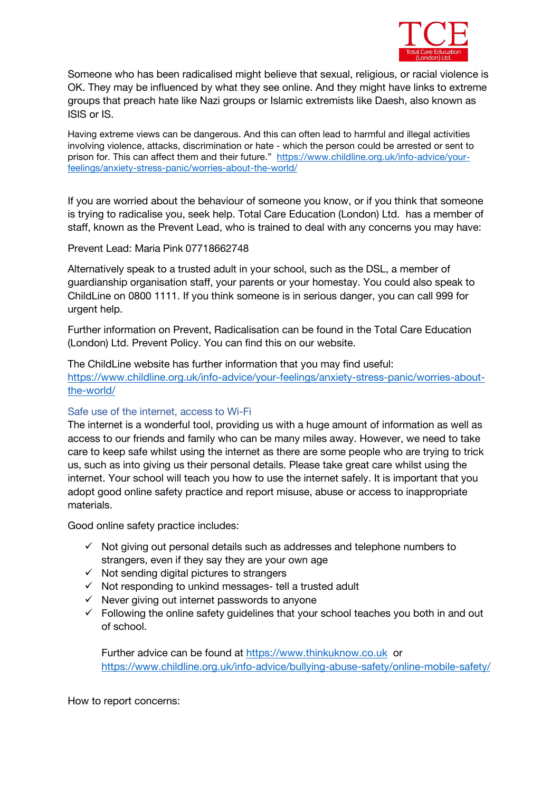

Someone who has been radicalised might believe that sexual, religious, or racial violence is OK. They may be influenced by what they see online. And they might have links to extreme groups that preach hate like Nazi groups or Islamic extremists like Daesh, also known as ISIS or IS.

Having extreme views can be dangerous. And this can often lead to harmful and illegal activities involving violence, attacks, discrimination or hate - which the person could be arrested or sent to prison for. This can affect them and their future." [https://www.childline.org.uk/info-advice/your](https://www.childline.org.uk/info-advice/your-feelings/anxiety-stress-panic/worries-about-the-world/)feelings/anxiety-stress-panic/worries-about-the-world/

If you are worried about the behaviour of someone you know, or if you think that someone is trying to radicalise you, seek help. Total Care Education (London) Ltd. has a member of staff, known as the Prevent Lead, who is trained to deal with any concerns you may have:

Prevent Lead: *Maria Pink 07718662748*

Alternatively speak to a trusted adult in your school, such as the DSL, a member of guardianship organisation staff, your parents or your homestay. You could also speak to ChildLine on 0800 1111. If you think someone is in serious danger, you can call 999 for urgent help.

Further information on Prevent, Radicalisation can be found in the Total Care Education (London) Ltd. Prevent Policy. You can find this on our website.

The ChildLine website has further information that you may find useful: [https://www.childline.org.uk/info-advice/your-feelings/anxiety-stress-panic/worries-about](https://www.childline.org.uk/info-advice/your-feelings/anxiety-stress-panic/worries-about-the-world/)the-world/

## *Safe use of the internet, access to Wi-Fi*

The internet is a wonderful tool, providing us with a huge amount of information as well as access to our friends and family who can be many miles away. However, we need to take care to keep safe whilst using the internet as there are some people who are trying to trick us, such as into giving us their personal details. Please take great care whilst using the internet. Your school will teach you how to use the internet safely. It is important that you adopt good online safety practice and report misuse, abuse or access to inappropriate materials.

Good online safety practice includes:

- $\checkmark$  Not giving out personal details such as addresses and telephone numbers to strangers, even if they say they are your own age
- $\checkmark$  Not sending digital pictures to strangers
- $\checkmark$  Not responding to unkind messages- tell a trusted adult
- $\checkmark$  Never giving out internet passwords to anyone
- $\checkmark$  Following the online safety guidelines that your school teaches you both in and out of school.

Further advice can be found at <https://www.thinkuknow.co.uk> or <https://www.childline.org.uk/info-advice/bullying-abuse-safety/online-mobile-safety/>

How to report concerns: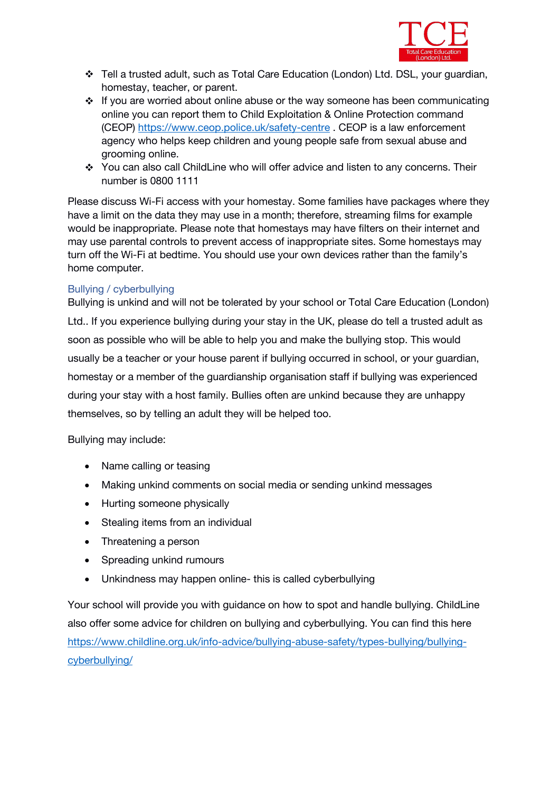

- Tell a trusted adult, such as *Total Care Education (London) Ltd.* DSL, your guardian, homestay, teacher, or parent.
- ❖ If you are worried about online abuse or the way someone has been communicating online you can report them to Child Exploitation & Online Protection command (CEOP) <https://www.ceop.police.uk/safety-centre> . CEOP is a law enforcement agency who helps keep children and young people safe from sexual abuse and grooming online.
- \* You can also call ChildLine who will offer advice and listen to any concerns. Their number is 0800 1111

Please discuss Wi-Fi access with your homestay. Some families have packages where they have a limit on the data they may use in a month; therefore, streaming films for example would be inappropriate. Please note that homestays may have filters on their internet and may use parental controls to prevent access of inappropriate sites. Some homestays may turn off the Wi-Fi at bedtime. You should use your own devices rather than the family's home computer.

## *Bullying / cyberbullying*

Bullying is unkind and will not be tolerated by your school or *Total Care Education (London) Ltd..* If you experience bullying during your stay in the UK, please do tell a trusted adult as soon as possible who will be able to help you and make the bullying stop. This would usually be a teacher or your house parent if bullying occurred in school, or your guardian, homestay or a member of the guardianship organisation staff if bullying was experienced during your stay with a host family. Bullies often are unkind because they are unhappy themselves, so by telling an adult they will be helped too.

Bullying may include:

- Name calling or teasing
- Making unkind comments on social media or sending unkind messages
- Hurting someone physically
- Stealing items from an individual
- Threatening a person
- Spreading unkind rumours
- Unkindness may happen online- this is called cyberbullying

Your school will provide you with guidance on how to spot and handle bullying. ChildLine also offer some advice for children on bullying and cyberbullying. You can find this here [https://www.childline.org.uk/info-advice/bullying-abuse-safety/types-bullying/bullying](https://www.childline.org.uk/info-advice/bullying-abuse-safety/types-bullying/bullying-cyberbullying/) cyberbullying/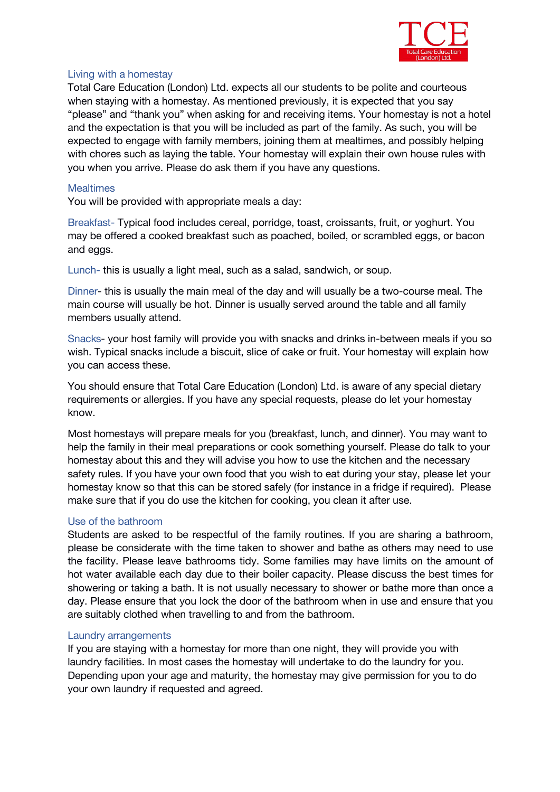

#### *Living with a homestay*

*Total Care Education (London) Ltd.* expects all our students to be polite and courteous when staying with a homestay. As mentioned previously, it is expected that you say "please" and "thank you" when asking for and receiving items. Your homestay is not a hotel and the expectation is that you will be included as part of the family. As such, you will be expected to engage with family members, joining them at mealtimes, and possibly helping with chores such as laying the table. Your homestay will explain their own house rules with you when you arrive. Please do ask them if you have any questions.

#### *Mealtimes*

You will be provided with appropriate meals a day:

*Breakfast-* Typical food includes cereal, porridge, toast, croissants, fruit, or yoghurt. You may be offered a cooked breakfast such as poached, boiled, or scrambled eggs, or bacon and eggs.

*Lunch-* this is usually a light meal, such as a salad, sandwich, or soup.

*Dinner*- this is usually the main meal of the day and will usually be a two-course meal. The main course will usually be hot. Dinner is usually served around the table and all family members usually attend.

*Snacks*- your host family will provide you with snacks and drinks in-between meals if you so wish. Typical snacks include a biscuit, slice of cake or fruit. Your homestay will explain how you can access these.

You should ensure that*Total Care Education (London) Ltd.* is aware of any special dietary requirements or allergies. If you have any special requests, please do let your homestay know.

Most homestays will prepare meals for you (breakfast, lunch, and dinner). You may want to help the family in their meal preparations or cook something yourself. Please do talk to your homestay about this and they will advise you how to use the kitchen and the necessary safety rules. If you have your own food that you wish to eat during your stay, please let your homestay know so that this can be stored safely (for instance in a fridge if required). Please make sure that if you do use the kitchen for cooking, you clean it after use.

## *Use of the bathroom*

Students are asked to be respectful of the family routines. If you are sharing a bathroom, please be considerate with the time taken to shower and bathe as others may need to use the facility. Please leave bathrooms tidy. Some families may have limits on the amount of hot water available each day due to their boiler capacity. Please discuss the best times for showering or taking a bath. It is not usually necessary to shower or bathe more than once a day. Please ensure that you lock the door of the bathroom when in use and ensure that you are suitably clothed when travelling to and from the bathroom.

#### *Laundry arrangements*

If you are staying with a homestay for more than one night, they will provide you with laundry facilities. In most cases the homestay will undertake to do the laundry for you. Depending upon your age and maturity, the homestay may give permission for you to do your own laundry if requested and agreed.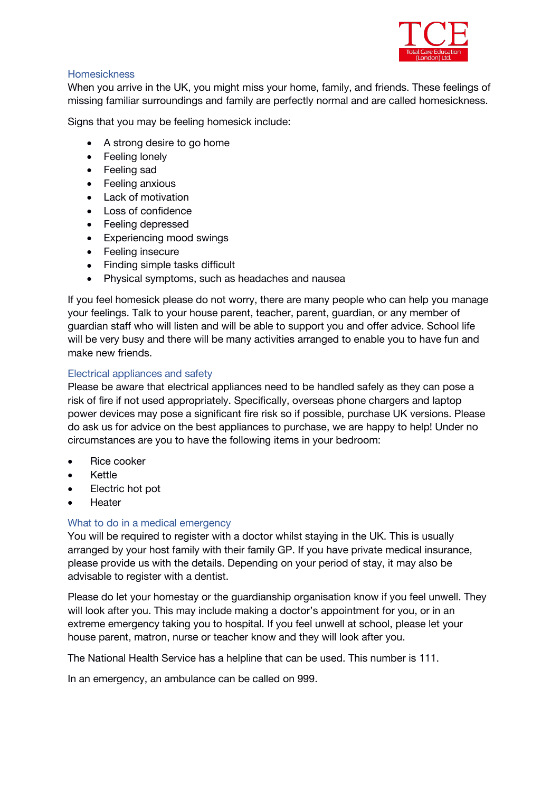

## *Homesickness*

When you arrive in the UK, you might miss your home, family, and friends. These feelings of missing familiar surroundings and family are perfectly normal and are called homesickness.

Signs that you may be feeling homesick include:

- A strong desire to go home
- Feeling lonely
- Feeling sad
- Feeling anxious
- Lack of motivation
- Loss of confidence
- Feeling depressed
- Experiencing mood swings
- Feeling insecure
- Finding simple tasks difficult
- Physical symptoms, such as headaches and nausea

If you feel homesick please do not worry, there are many people who can help you manage your feelings. Talk to your house parent, teacher, parent, guardian, or any member of guardian staff who will listen and will be able to support you and offer advice. School life will be very busy and there will be many activities arranged to enable you to have fun and make new friends.

## *Electrical appliances and safety*

Please be aware that electrical appliances need to be handled safely as they can pose a risk of fire if not used appropriately. Specifically, overseas phone chargers and laptop power devices may pose a significant fire risk so if possible, purchase UK versions. Please do ask us for advice on the best appliances to purchase, we are happy to help! Under no circumstances are you to have the following items in your bedroom:

- Rice cooker
- Kettle
- Electric hot pot
- Heater

## *What to do in a medical emergency*

You will be required to register with a doctor whilst staying in the UK. This is usually arranged by your host family with their family GP. If you have private medical insurance, please provide us with the details. Depending on your period of stay, it may also be advisable to register with a dentist.

Please do let your homestay or the guardianship organisation know if you feel unwell. They will look after you. This may include making a doctor's appointment for you, or in an extreme emergency taking you to hospital. If you feel unwell at school, please let your house parent, matron, nurse or teacher know and they will look after you.

The National Health Service has a helpline that can be used. This number is 111.

In an emergency, an ambulance can be called on 999.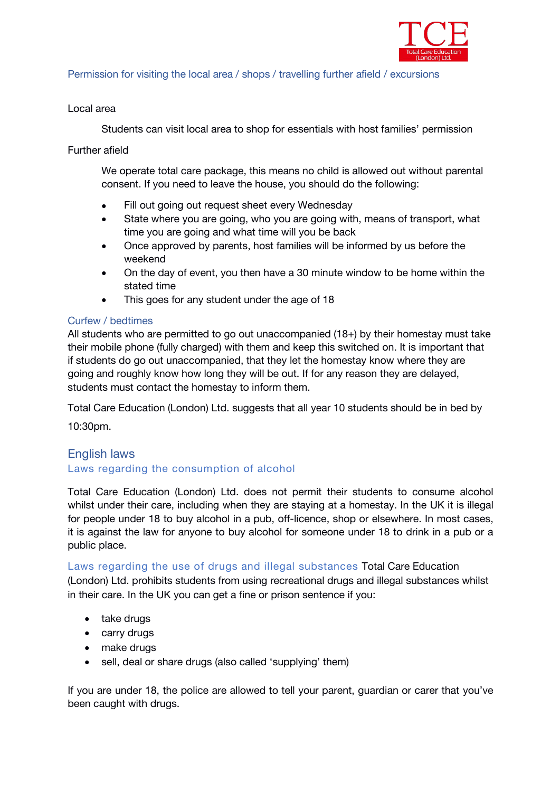

## *Permission for visiting the local area / shops / travelling further afield / excursions*

## Local area

Students can visit local area to shop for essentials with host families' permission

## Further afield

We operate total care package, this means no child is allowed out without parental consent. If you need to leave the house, you should do the following:

- Fill out going out request sheet every Wednesday
- State where you are going, who you are going with, means of transport, what time you are going and what time will you be back
- Once approved by parents, host families will be informed by us before the weekend
- On the day of event, you then have a 30 minute window to be home within the stated time
- This goes for any student under the age of 18

## *Curfew / bedtimes*

All students who are permitted to go out unaccompanied (18+) by their homestay must take their mobile phone (fully charged) with them and keep this switched on. It is important that if students do go out unaccompanied, that they let the homestay know where they are going and roughly know how long they will be out. If for any reason they are delayed, students must contact the homestay to inform them.

Total Care Education (London) Ltd. suggests that all year 10 students should be in bed by

10:30pm.

## *English laws Laws regarding the consumption of alcohol*

Total Care Education (London) Ltd. does not permit their students to consume alcohol whilst under their care, including when they are staying at a homestay. In the UK it is illegal for people under 18 to buy alcohol in a pub, off-licence, shop or elsewhere. In most cases, it is against the law for anyone to buy alcohol for someone under 18 to drink in a pub or a public place.

*Laws regarding the use of drugs and illegal substances* Total Care Education (London) Ltd. prohibits students from using recreational drugs and illegal substances whilst in their care. In the UK you can get a fine or prison sentence if you:

- take drugs
- carry drugs
- make drugs
- sell, deal or share drugs (also called 'supplying' them)

If you are under 18, the police are allowed to tell your parent, guardian or carer that you've been caught with drugs.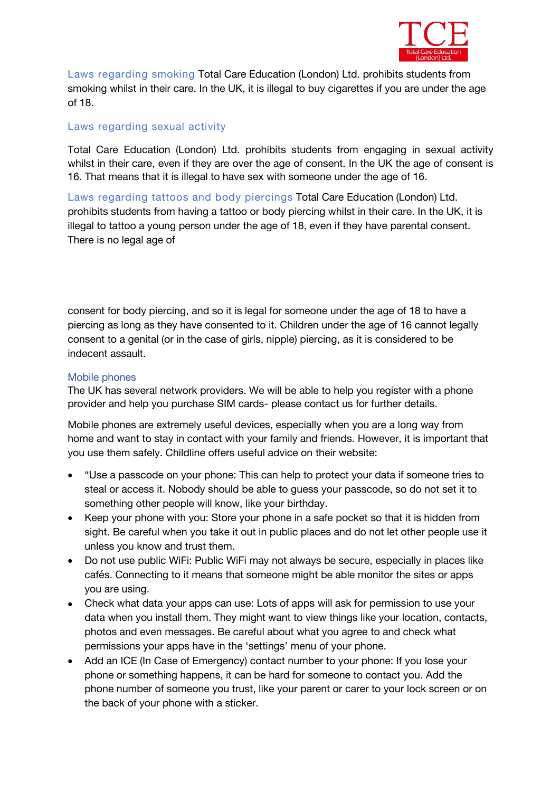

*Laws regarding smoking* Total Care Education (London) Ltd. prohibits students from smoking whilst in their care. In the UK, it is illegal to buy cigarettes if you are under the age of 18.

## *Laws regarding sexual activity*

Total Care Education (London) Ltd. prohibits students from engaging in sexual activity whilst in their care, even if they are over the age of consent. In the UK the age of consent is 16. That means that it is illegal to have sex with someone under the age of 16.

*Laws regarding tattoos and body piercings* Total Care Education (London) Ltd. prohibits students from having a tattoo or body piercing whilst in their care. In the UK, it is illegal to tattoo a young person under the age of 18, even if they have parental consent. There is no legal age of

consent for body piercing, and so it is legal for someone under the age of 18 to have a piercing as long as they have consented to it. Children under the age of 16 cannot legally consent to a genital (or in the case of girls, nipple) piercing, as it is considered to be indecent assault.

#### *Mobile phones*

The UK has several network providers. We will be able to help you register with a phone provider and help you purchase SIM cards- please contact us for further details.

Mobile phones are extremely useful devices, especially when you are a long way from home and want to stay in contact with your family and friends. However, it is important that you use them safely. Childline offers useful advice on their website:

- "Use a passcode on your phone: This can help to protect your data if someone tries to steal or access it. Nobody should be able to guess your passcode, so do not set it to something other people will know, like your birthday.
- Keep your phone with you: Store your phone in a safe pocket so that it is hidden from sight. Be careful when you take it out in public places and do not let other people use it unless you know and trust them.
- Do not use public WiFi: Public WiFi may not always be secure, especially in places like cafés. Connecting to it means that someone might be able monitor the sites or apps you are using.
- Check what data your apps can use: Lots of apps willask for permission to use your data when you install them. They might want to view things like your location, contacts, photos and even messages. Be careful about what you agree to and check what permissions your apps have in the 'settings' menu of your phone.
- Add an ICE (In Case of Emergency) contact number to your phone: If you lose your phone or something happens, it can be hard for someone to contact you. Add the phone number of someone you trust, like your parent or carer to your lock screen or on the back of your phone with a sticker.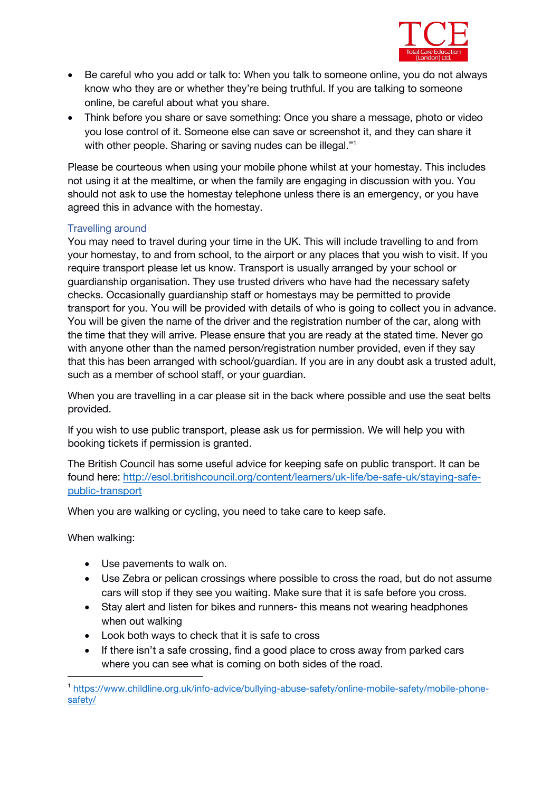

- Be careful who you add or talk to: When you talk to someone online, you do not always know who they are or whether they're being truthful. If you are talking to someone online, be careful about what you share.
- Think before you share or save something: Once you share a message, photo or video you lose control of it. Someone else can save or screenshot it, and they can share it with other people. Sharing or saving nudes can be illegal."<sup>1</sup> [1](#page-10-0)

Please be courteous when using your mobile phone whilst at your homestay. This includes not using it at the mealtime, or when the family are engaging in discussion with you. You should not ask to use the homestay telephone unless there is an emergency, or you have agreed this in advance with the homestay.

## *Travelling around*

You may need to travel during your time in the UK. This will include travelling to and from your homestay, to and from school, to the airport or any places that you wish to visit. If you require transport please let us know. Transport is usually arranged by your school or guardianship organisation. They use trusted drivers who have had the necessary safety checks. Occasionally guardianship staff or homestays may be permitted to provide transport for you. You will be provided with details of who is going to collect you in advance. You will be given the name of the driver and the registration number of the car, along with the time that they will arrive. Please ensure that you are ready at the stated time. Never go with anyone other than the named person/registration number provided, even if they say that this has been arranged with school/guardian. If you are in any doubt ask a trusted adult, such as a member of school staff, or your guardian.

When you are travelling in a car please sit in the back where possible and use the seat belts provided.

If you wish to use public transport, please ask us for permission. We will help you with booking tickets if permission is granted.

The British Council has some useful advice for keeping safe on public transport. It can be found here: [http://esol.britishcouncil.org/content/learners/uk-life/be-safe-uk/staying-safe](http://esol.britishcouncil.org/content/learners/uk-life/be-safe-uk/staying-safe-public-transport) public-transport

When you are walking or cycling, you need to take care to keep safe.

When walking:

- Use pavements to walk on.
- Use Zebra or pelican crossings where possible to cross the road, but do not assume cars will stop if they see you waiting. Make sure that it is safe before you cross.
- Stay alert and listen for bikes and runners- this means not wearing headphones when out walking
- Look both ways to check that it is safe to cross
- If there isn't a safe crossing, find a good place to cross away from parked cars where you can see what is coming on both sides of the road.

<span id="page-10-0"></span><sup>1</sup> [https://www.childline.org.uk/info-advice/bullying-abuse-safety/online-mobile-safety/mobile-phone](https://www.childline.org.uk/info-advice/bullying-abuse-safety/online-mobile-safety/mobile-phone-safety/) safety/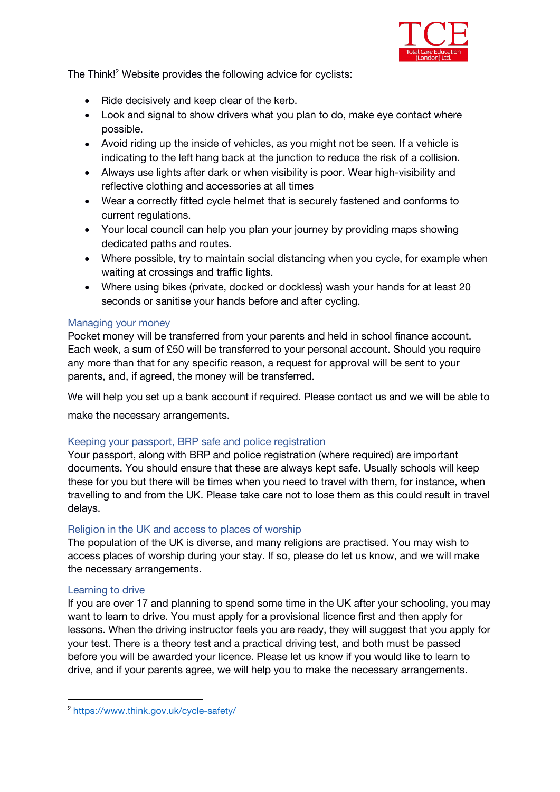

The Think!<sup>[2](#page-11-0)</sup> Website provides the following advice for cyclists:

- Ride decisively and keep clear of the kerb.
- Look and signal to show drivers what you plan to do, make eye contact where possible.
- Avoid riding up the inside of vehicles, as you might not be seen. If a vehicle is indicating to the left hang back at the junction to reduce the risk of a collision.
- Always use lights after dark or when visibility is poor. Wear high-visibility and reflective clothing and accessories at all times
- Wear a correctly fitted cycle helmet that is securely fastened and conforms to current regulations.
- Your local council can help you plan your journey by providing maps showing dedicated paths and routes.
- Where possible, try to maintain social distancing when you cycle, for example when waiting at crossings and traffic lights.
- Where using bikes (private, docked or dockless) wash your hands for at least 20 seconds or sanitise your hands before and after cycling.

#### *Managing your money*

Pocket money will be transferred from your parents and held in school finance account. Each week, a sum of £50 will be transferred to your personal account. Should you require any more than that for any specific reason, a request for approval will be sent to your parents, and, if agreed, the money will be transferred.

We will help you set up a bank account if required. Please contact us and we will be able to

make the necessary arrangements.

## *Keeping your passport, BRP safeand police registration*

Your passport, along with BRP and police registration (where required) are important documents. You should ensure that these are always kept safe. Usually schools will keep these for you but there will be times when you need to travel with them, for instance, when travelling to and from the UK. Please take care not to lose them as this could result in travel delays.

## *Religion in the UK and access to places of worship*

The population of the UK is diverse, and many religions are practised. You may wish to access places of worship during your stay. If so, please do let us know, and we will make the necessary arrangements.

#### *Learning to drive*

If you are over 17 and planning to spend some time in the UK after your schooling, you may want to learn to drive. You must apply for a provisional licence first and then apply for lessons. When the driving instructor feels you are ready, they will suggest that you apply for your test. There is a theory test and a practical driving test, and both must be passed before you will be awarded your licence. Please let us know if you would like to learn to drive, and if your parents agree, we will help you to make the necessary arrangements.

<span id="page-11-0"></span><sup>2</sup> <https://www.think.gov.uk/cycle-safety/>